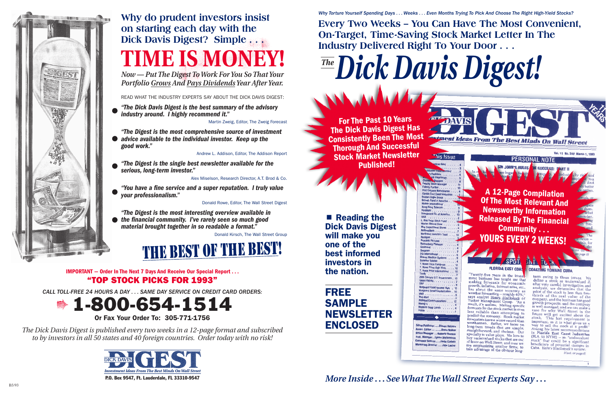#### *Why Torture Yourself Spending Days . . . Weeks . . . Even Months Trying To Pick And Choose The Right High-Yield Stocks?*

# **Every Two Weeks – You Can Have The Most Convenient,**

**Estment Ideas From The Best Minds On Wall Street** 

**DAVIS** 

**This Issue** 

**On-Target, Time-Saving Stock Market Letter In The Industry Delivered Right To Your Door . . .**

*Dick Davis Digest! The*

■ Reading the Dick Davis Digest will make you one of the best informed investors in the nation.

For The Past 10 Years The Dick Davis Digest Has Consistently Been The Most Thorough And Successful Stock Market Newsletter Published!

### A 12-Page Compilation Of The Most Relevant And Newsworthy Information Released By The Financial Community . . . YOURS EVERY 2 WEEKS!

**PERSONAL NOT** 

#### **FLORIDA EAST COAS**

"Twenty-five years in the invest-<br>ment business has taught me that making forecasts for economic rowth, inflation, interest rates, etc., has about the same accuracy as weather forecasting -- roughly 40%, says analyst Henry Blackstock of<br>Tucker Management Group. "As a result, it's useless. Making specific forecasts for the stock market is even less reliable than attempting to predict the economy. Stock market orecasters have a worse record than weathermen. Rather, we focus on long-term trends that are simple straightforward, and obvious. Our specialty is value plays. We love to because is value plays. We love to<br>buy undervalued stocks that are out of favor on Wall Street, and now we are emphasizing smaller firms, to take advantage of the obvious long-

#### **COASTING TOWARD CUBA**

term swing to these issues. define a stock as undervalued if after very careful investigation and analysis, we determine that the price of the stock is less than twothirds of the real value of the company, and the business has good wth prospects, and the company is well managed, and we can make a case for why Wall Street in the future will get excited about the stock. This last requirement is important, as it is what gives us a way to sell the stock at a profit." ong his latest recom is Florida East Coast Industries (FLA 50 NYSE) -- an "undervalued stock" that could be a significant beneficiary of potential changes in Cuba. Here's Blackstock's review: (Cont. on page 8)



## **Why do prudent investors insist on starting each day with the Dick Davis Digest? Simple . . . TIME IS MON**

## FREE SAMPLE NEWSLETTER ENCLOSED

...Donn Walke ager ....Roberta Norman ger...Lynne Wallenstein vice .....Judie Corbett

.. Roy Papp Stock Fu rion Merrell Dow

hared Medical Syst **T. Rowe Price Euro** T. Rowe Price High Yield

T. Rowe Price Internat

**Vanguard Fixed Income High** 

20th Century II S. Go

## *More Inside . . . See What The Wall Street Experts Say . . .*



IMPORTANT — Order In The Next 7 Days And Receive Our Special Report . . . "TOP STOCK PICKS FOR 1993"

*CALL TOLL-FREE 24 HOURS A DAY . . . SAME DAY SERVICE ON CREDIT CARD ORDERS:*

1-800-654-1514 Or Fax Your Order To: 305-771-1756

*The Dick Davis Digest is published every two weeks in a 12-page format and subscribed to by investors in all 50 states and 40 foreign countries. Order today with no risk!*



*Now — Put The Digest To Work For You So That Your Portfolio Grows And Pays Dividends Year After Year.*

READ WHAT THE INDUSTRY EXPERTS SAY ABOUT THE DICK DAVIS DIGEST:

*"The Dick Davis Digest is the best summary of the advisory industry around. I highly recommend it."*

Martin Zweig, Editor, The Zweig Forecast

- *"The Digest is the most comprehensive source of investment advice available to the individual investor. Keep up the*
- *good work."*

Andrew L. Addison, Editor, The Addison Report

*"The Digest is the single best newsletter available for the serious, long-term investor."*

Alex Miselson, Research Director, A.T. Brod & Co.

*"You have a fine service and a super reputation. I truly value your professionalism."*

Donald Rowe, Editor, The Wall Street Digest

*"The Digest is the most interesting overview available in the financial community. I've rarely seen so much good material brought together in so readable a format."*

Donald Kirsch, The Wall Street Group